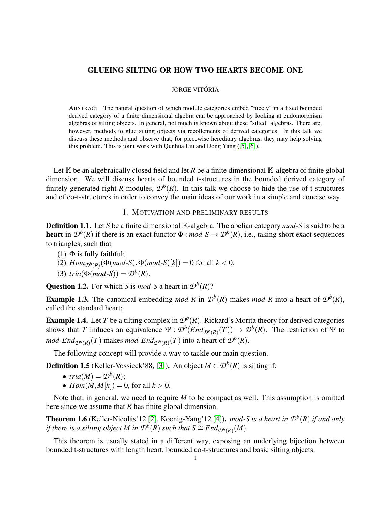# GLUEING SILTING OR HOW TWO HEARTS BECOME ONE

#### JORGE VITÓRIA

ABSTRACT. The natural question of which module categories embed "nicely" in a fixed bounded derived category of a finite dimensional algebra can be approached by looking at endomorphism algebras of silting objects. In general, not much is known about these "silted" algebras. There are, however, methods to glue silting objects via recollements of derived categories. In this talk we discuss these methods and observe that, for piecewise hereditary algebras, they may help solving this problem. This is joint work with Qunhua Liu and Dong Yang ([\[5\]](#page-2-0),[\[6\]](#page-2-1)).

Let  $K$  be an algebraically closed field and let *R* be a finite dimensional  $K$ -algebra of finite global dimension. We will discuss hearts of bounded t-structures in the bounded derived category of finitely generated right *R*-modules,  $\mathcal{D}^b(R)$ . In this talk we choose to hide the use of t-structures and of co-t-structures in order to convey the main ideas of our work in a simple and concise way.

### 1. MOTIVATION AND PRELIMINARY RESULTS

Definition 1.1. Let *S* be a finite dimensional K-algebra. The abelian category *mod*-*S* is said to be a heart in  $\mathcal{D}^b(R)$  if there is an exact functor  $\Phi$  : *mod*-*S*  $\rightarrow \mathcal{D}^b(R)$ , i.e., taking short exact sequences to triangles, such that

- (1)  $\Phi$  is fully faithful;
- (2)  $Hom_{\mathcal{D}^b(R)}(\Phi(mod\text{-}S), \Phi(mod\text{-}S)[k]) = 0$  for all  $k < 0$ ;
- (3)  $tria(\Phi(mod-S)) = \mathcal{D}^b(R)$ .

**Question 1.2.** For which *S* is *mod*-*S* a heart in  $\mathcal{D}^b(R)$ ?

**Example 1.3.** The canonical embedding *mod-R* in  $\mathcal{D}^b(R)$  makes *mod-R* into a heart of  $\mathcal{D}^b(R)$ , called the standard heart;

**Example 1.4.** Let *T* be a tilting complex in  $\mathcal{D}^b(R)$ . Rickard's Morita theory for derived categories shows that *T* induces an equivalence  $\Psi : \mathcal{D}^b(\text{End}_{\mathcal{D}^b(R)}(T)) \to \mathcal{D}^b(R)$ . The restriction of  $\Psi$  to *mod-End* ${}_{\mathcal{D}^b(R)}(T)$  makes *mod-End* ${}_{\mathcal{D}^b(R)}(T)$  into a heart of  $\mathcal{D}^b(R)$ .

The following concept will provide a way to tackle our main question.

**Definition 1.5** (Keller-Vossieck'88, [\[3\]](#page-2-2)). An object  $M \in \mathcal{D}^b(R)$  is silting if:

• 
$$
tria(M) = \mathcal{D}^b(R);
$$

•  $Hom(M, M[k]) = 0$ , for all  $k > 0$ .

Note that, in general, we need to require *M* to be compact as well. This assumption is omitted here since we assume that *R* has finite global dimension.

Theorem 1.6 (Keller-Nicolás'12 [\[2\]](#page-2-3), Koenig-Yang'12 [\[4\]](#page-2-4)). *mod-S is a heart in D<sup>b</sup>* (*R*) *if and only if there is a silting object*  $M$  *in*  $\mathcal{D}^{\overline{b}}(R)$  *such that*  $S \cong End_{\mathcal{D}^b(R)}(M)$ *.* 

This theorem is usually stated in a different way, exposing an underlying bijection between bounded t-structures with length heart, bounded co-t-structures and basic silting objects.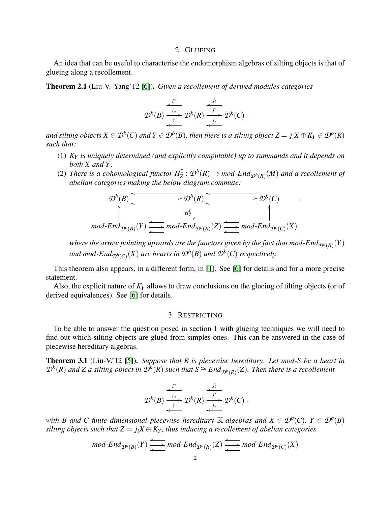### 2. GLUEING

An idea that can be useful to characterise the endomorphism algebras of silting objects is that of glueing along a recollement.

Theorem 2.1 (Liu-V.-Yang'12 [\[6\]](#page-2-1)). *Given a recollement of derived modules categories*

$$
\mathcal{D}^b(B) \xrightarrow[i]{i^*} \mathcal{D}^b(R) \xrightarrow[j^*]{j^*} \mathcal{D}^b(C) .
$$

*and silting objects*  $X \in \mathcal{D}^b(C)$  *and*  $Y \in \mathcal{D}^b(B)$ , *then there is a silting object*  $Z = j_!X \oplus K_Y \in \mathcal{D}^b(R)$ *such that:*

- (1) *K<sup>Y</sup> is uniquely determined (and explicitly computable) up to summands and it depends on both X and Y ;*
- (2) There is a cohomological functor  $H_Z^0$  :  $\mathcal{D}^b(R) \to \text{mod-}\text{End}_{\mathcal{D}^b(R)}(M)$  and a recollement of *abelian categories making the below diagram commute:*

.

$$
\mathcal{D}^b(B) \xrightarrow{\longleftarrow} \mathcal{D}^b(R) \xrightarrow{\longleftarrow} \mathcal{D}^b(C)
$$
\n
$$
\uparrow \qquad \qquad H_Z^0 \downarrow \qquad \qquad \uparrow
$$
\n
$$
\uparrow \qquad \qquad \uparrow
$$
\n
$$
\uparrow \qquad \qquad \uparrow
$$
\n
$$
\uparrow
$$
\n
$$
\uparrow
$$
\n
$$
\uparrow
$$
\n
$$
\uparrow
$$
\n
$$
\uparrow
$$
\n
$$
\uparrow
$$
\n
$$
\uparrow
$$
\n
$$
\uparrow
$$
\n
$$
\uparrow
$$
\n
$$
\uparrow
$$
\n
$$
\uparrow
$$
\n
$$
\uparrow
$$
\n
$$
\uparrow
$$
\n
$$
\uparrow
$$
\n
$$
\uparrow
$$
\n
$$
\uparrow
$$
\n
$$
\uparrow
$$
\n
$$
\uparrow
$$
\n
$$
\downarrow
$$
\n
$$
\uparrow
$$
\n
$$
\uparrow
$$
\n
$$
\downarrow
$$
\n
$$
\uparrow
$$
\n
$$
\downarrow
$$
\n
$$
\downarrow
$$
\n
$$
\uparrow
$$
\n
$$
\downarrow
$$
\n
$$
\downarrow
$$
\n
$$
\uparrow
$$
\n
$$
\downarrow
$$
\n
$$
\downarrow
$$
\n
$$
\downarrow
$$
\n
$$
\downarrow
$$
\n
$$
\downarrow
$$
\n
$$
\downarrow
$$
\n
$$
\downarrow
$$
\n
$$
\downarrow
$$
\n
$$
\downarrow
$$
\n
$$
\downarrow
$$
\n
$$
\downarrow
$$
\n
$$
\downarrow
$$
\n
$$
\downarrow
$$
\n
$$
\downarrow
$$
\n
$$
\downarrow
$$
\n
$$
\downarrow
$$
\n
$$
\downarrow
$$
\n
$$
\downarrow
$$
\n
$$
\downarrow
$$
\n
$$
\downarrow
$$
\n
$$
\downarrow
$$
\n
$$
\downarrow
$$
\n
$$
\downarrow
$$
\n
$$
\downarrow
$$
\

where the arrow pointing upwards are the functors given by the fact that mod-End $_{\mathcal{D}^b(B)}(Y)$ *and mod-End*<sub> $\mathcal{D}^b(C)(X)$  are hearts in  $\mathcal{D}^b(B)$  and  $\mathcal{D}^b(C)$  respectively.</sub>

This theorem also appears, in a different form, in [\[1\]](#page-2-5). See [\[6\]](#page-2-1) for details and for a more precise statement.

Also, the explicit nature of *K<sup>Y</sup>* allows to draw conclusions on the glueing of tilting objects (or of derived equivalences). See [\[6\]](#page-2-1) for details.

# 3. RESTRICTING

To be able to answer the question posed in section 1 with glueing techniques we will need to find out which silting objects are glued from simples ones. This can be answered in the case of piecewise hereditary algebras.

Theorem 3.1 (Liu-V.'12 [\[5\]](#page-2-0)). *Suppose that R is piecewise hereditary. Let mod-S be a heart in D*<sup>*b*</sup>(*R*) *and Z a silting object in*  $\hat{\mathcal{D}}^b(R)$  *such that*  $S \cong End_{\mathcal{D}^b(R)}(Z)$ *. Then there is a recollement* 

$$
\mathcal{D}^{b}(B) \xrightarrow[i]{i^*} \mathcal{D}^{b}(R) \xrightarrow[j^*]{j^*} \mathcal{D}^{b}(C).
$$

*with B and C finite dimensional piecewise hereditary*  $\mathbb{K}$ -algebras and  $X \in \mathcal{D}^b(C)$ ,  $Y \in \mathcal{D}^b(B)$ *silting objects such that*  $Z = j_1 X \oplus K_Y$ *, thus inducing a recollement of abelian categories* 

$$
\mathit{mod-End}_{\mathcal{D}^b(\mathit{B})}(Y)\xrightarrow{\longleftarrow}\mathit{mod-End}_{\mathcal{D}^b(\mathit{R})}(Z)\xrightarrow{\longleftarrow}\mathit{mod-End}_{\mathcal{D}^b(\mathit{C})}(X)
$$